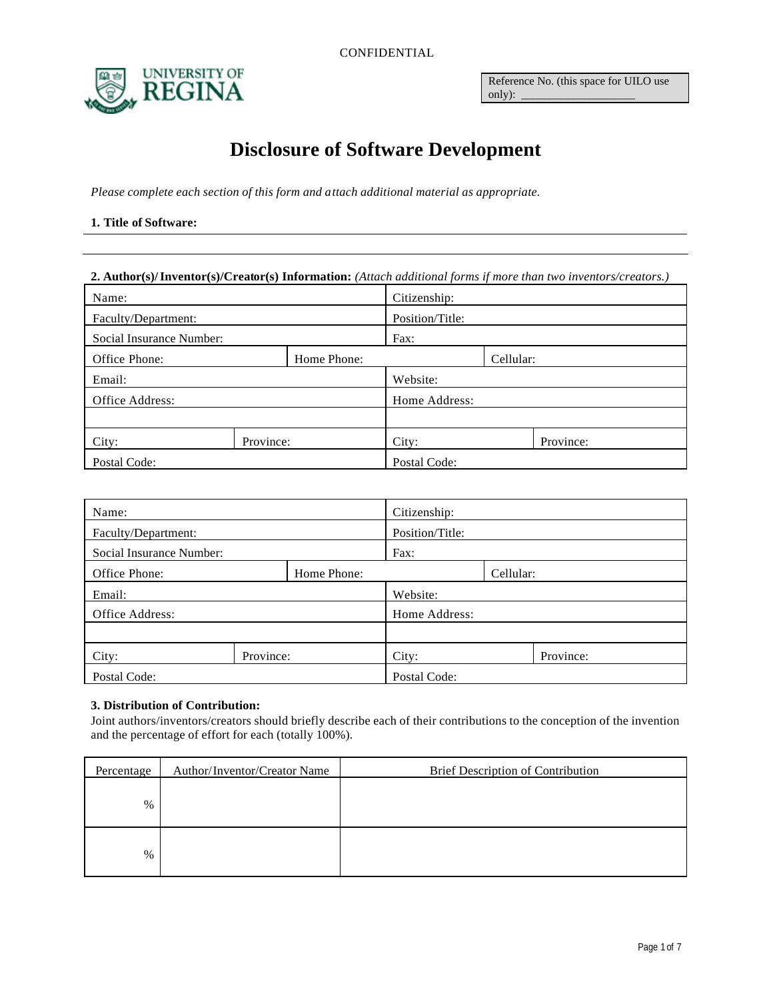CONFIDENTIAL



Reference No. (this space for UILO use only):

# **Disclosure of Software Development**

*Please complete each section of this form and attach additional material as appropriate.*

### **1. Title of Software:**

#### **2. Author(s)/Inventor(s)/Creator(s) Information:** *(Attach additional forms if more than two inventors/creators.)*

| Name:                        |           | Citizenship:    |       |  |           |
|------------------------------|-----------|-----------------|-------|--|-----------|
| Faculty/Department:          |           | Position/Title: |       |  |           |
| Social Insurance Number:     |           | Fax:            |       |  |           |
| Office Phone:<br>Home Phone: |           | Cellular:       |       |  |           |
| Email:                       |           | Website:        |       |  |           |
| Office Address:              |           | Home Address:   |       |  |           |
|                              |           |                 |       |  |           |
| City:                        | Province: |                 | City: |  | Province: |
| Postal Code:                 |           | Postal Code:    |       |  |           |

| Name:                        |           |                 | Citizenship: |  |           |
|------------------------------|-----------|-----------------|--------------|--|-----------|
| Faculty/Department:          |           | Position/Title: |              |  |           |
| Social Insurance Number:     |           | Fax:            |              |  |           |
| Office Phone:<br>Home Phone: |           | Cellular:       |              |  |           |
| Email:                       |           | Website:        |              |  |           |
| Office Address:              |           | Home Address:   |              |  |           |
|                              |           |                 |              |  |           |
| City:                        | Province: |                 | City:        |  | Province: |
| Postal Code:                 |           |                 | Postal Code: |  |           |

#### **3. Distribution of Contribution:**

Joint authors/inventors/creators should briefly describe each of their contributions to the conception of the invention and the percentage of effort for each (totally 100%).

| Percentage | Author/Inventor/Creator Name | <b>Brief Description of Contribution</b> |
|------------|------------------------------|------------------------------------------|
| %          |                              |                                          |
| $\%$       |                              |                                          |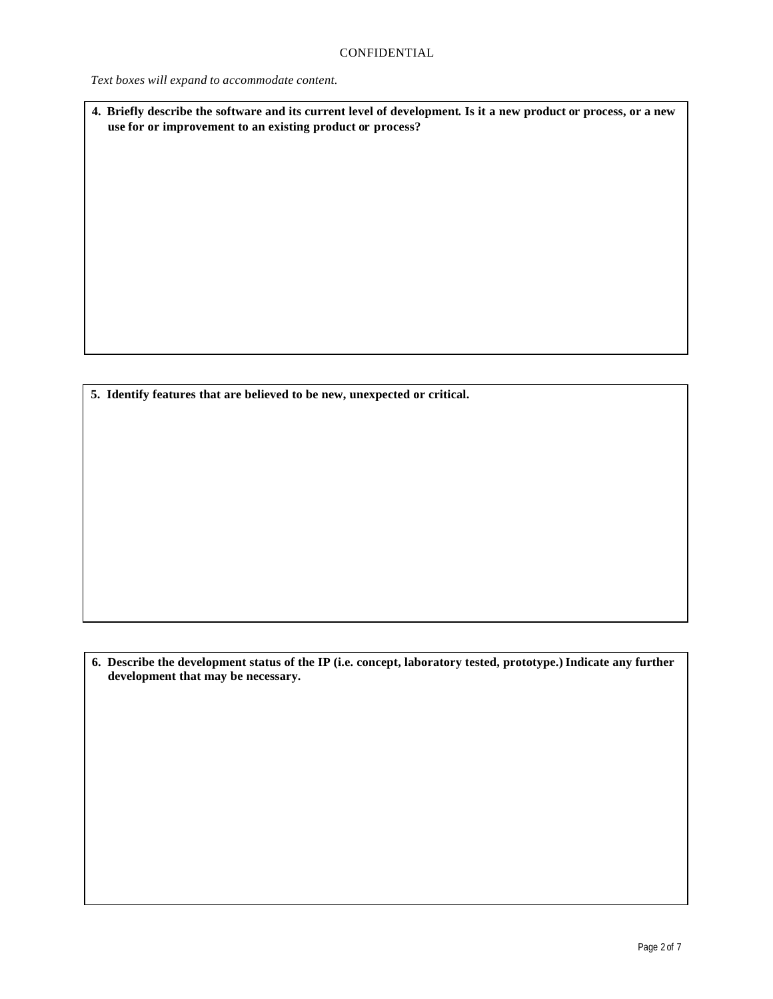*Text boxes will expand to accommodate content.*

**4. Briefly describe the software and its current level of development. Is it a new product or process, or a new use for or improvement to an existing product or process?**

**5. Identify features that are believed to be new, unexpected or critical.**

**6. Describe the development status of the IP (i.e. concept, laboratory tested, prototype.) Indicate any further development that may be necessary.**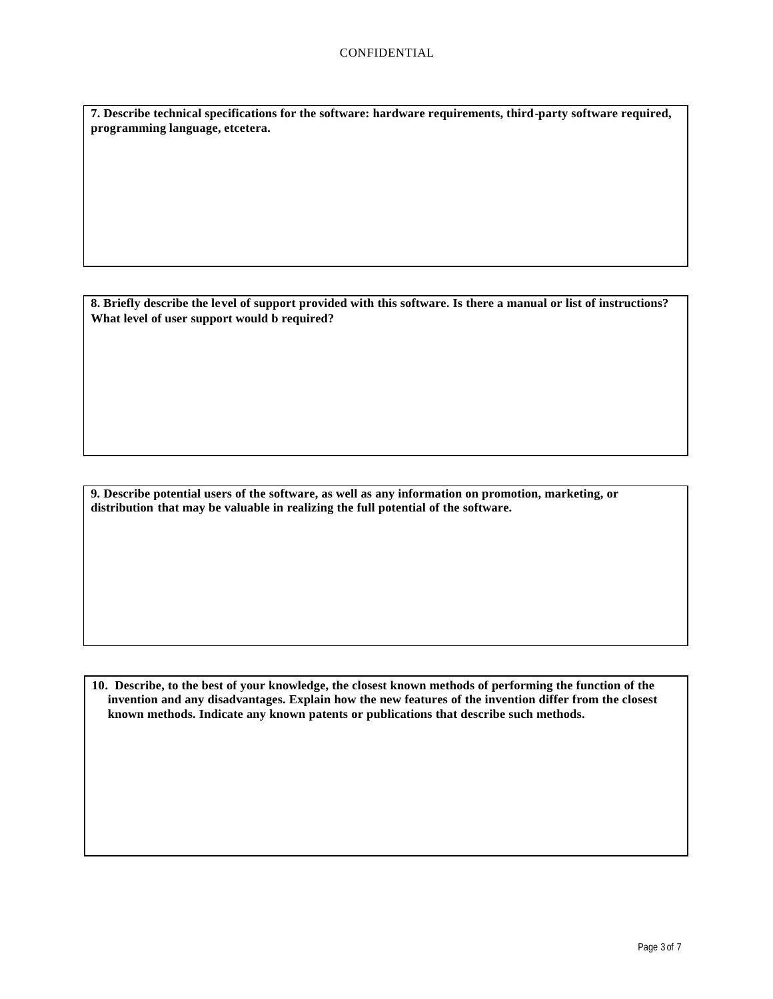**7. Describe technical specifications for the software: hardware requirements, third-party software required, programming language, etcetera.**

**8. Briefly describe the level of support provided with this software. Is there a manual or list of instructions? What level of user support would b required?**

**9. Describe potential users of the software, as well as any information on promotion, marketing, or distribution that may be valuable in realizing the full potential of the software.**

**10. Describe, to the best of your knowledge, the closest known methods of performing the function of the invention and any disadvantages. Explain how the new features of the invention differ from the closest known methods. Indicate any known patents or publications that describe such methods.**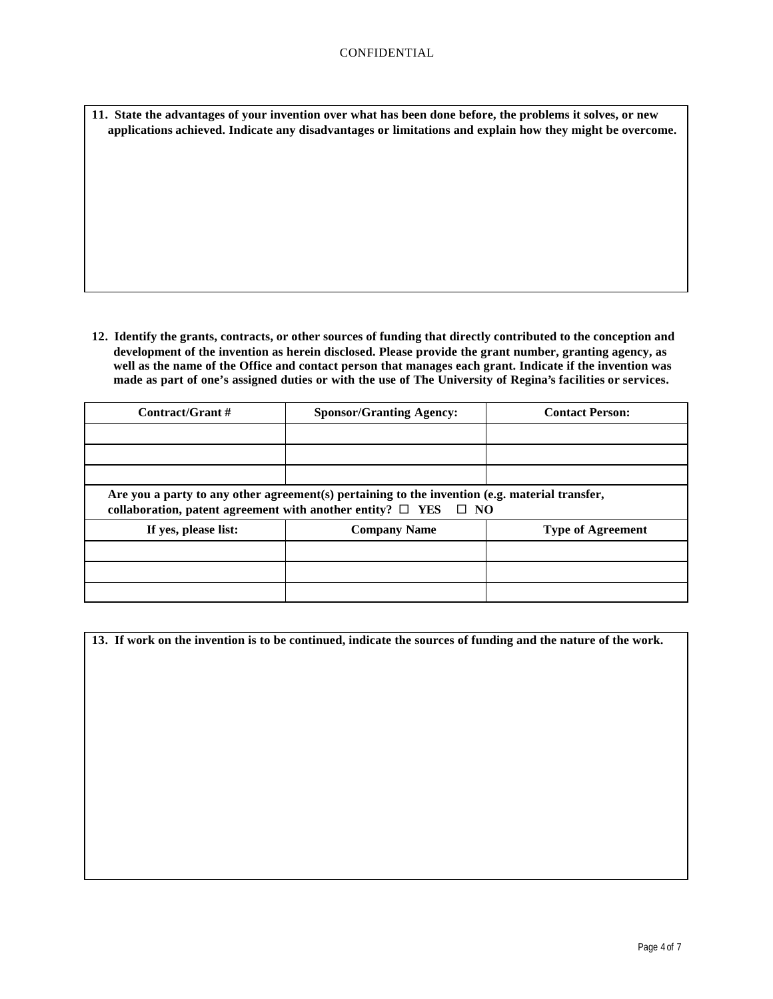**11. State the advantages of your invention over what has been done before, the problems it solves, or new applications achieved. Indicate any disadvantages or limitations and explain how they might be overcome.**

**12. Identify the grants, contracts, or other sources of funding that directly contributed to the conception and development of the invention as herein disclosed. Please provide the grant number, granting agency, as well as the name of the Office and contact person that manages each grant. Indicate if the invention was made as part of one's assigned duties or with the use of The University of Regina's facilities or services.**

| Contract/Grant #                                                                                                                                                            | <b>Sponsor/Granting Agency:</b> | <b>Contact Person:</b>   |  |  |
|-----------------------------------------------------------------------------------------------------------------------------------------------------------------------------|---------------------------------|--------------------------|--|--|
|                                                                                                                                                                             |                                 |                          |  |  |
|                                                                                                                                                                             |                                 |                          |  |  |
|                                                                                                                                                                             |                                 |                          |  |  |
| Are you a party to any other agreement(s) pertaining to the invention (e.g. material transfer,<br>collaboration, patent agreement with another entity? $\Box$ YES $\Box$ NO |                                 |                          |  |  |
| If yes, please list:                                                                                                                                                        | <b>Company Name</b>             | <b>Type of Agreement</b> |  |  |
|                                                                                                                                                                             |                                 |                          |  |  |
|                                                                                                                                                                             |                                 |                          |  |  |
|                                                                                                                                                                             |                                 |                          |  |  |

| 13. If work on the invention is to be continued, indicate the sources of funding and the nature of the work. |  |  |  |
|--------------------------------------------------------------------------------------------------------------|--|--|--|
|                                                                                                              |  |  |  |
|                                                                                                              |  |  |  |
|                                                                                                              |  |  |  |
|                                                                                                              |  |  |  |
|                                                                                                              |  |  |  |
|                                                                                                              |  |  |  |
|                                                                                                              |  |  |  |
|                                                                                                              |  |  |  |
|                                                                                                              |  |  |  |
|                                                                                                              |  |  |  |
|                                                                                                              |  |  |  |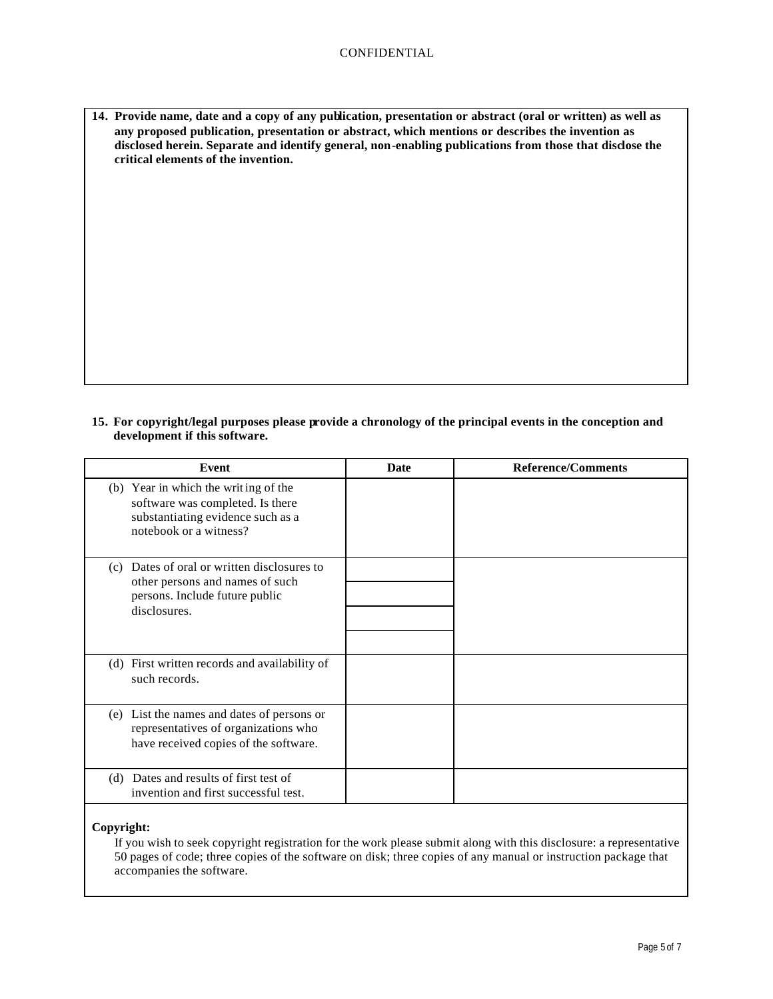**14. Provide name, date and a copy of any publication, presentation or abstract (oral or written) as well as any proposed publication, presentation or abstract, which mentions or describes the invention as disclosed herein. Separate and identify general, non-enabling publications from those that disclose the critical elements of the invention.**

**15. For copyright/legal purposes please provide a chronology of the principal events in the conception and development if this software.**

| Event                                                                                                                                   | <b>Date</b> | <b>Reference/Comments</b> |
|-----------------------------------------------------------------------------------------------------------------------------------------|-------------|---------------------------|
| (b) Year in which the writing of the<br>software was completed. Is there<br>substantiating evidence such as a<br>notebook or a witness? |             |                           |
| Dates of oral or written disclosures to<br>(c)<br>other persons and names of such<br>persons. Include future public<br>disclosures.     |             |                           |
| (d) First written records and availability of<br>such records.                                                                          |             |                           |
| (e) List the names and dates of persons or<br>representatives of organizations who<br>have received copies of the software.             |             |                           |
| (d) Dates and results of first test of<br>invention and first successful test.                                                          |             |                           |

# **Copyright:**

If you wish to seek copyright registration for the work please submit along with this disclosure: a representative 50 pages of code; three copies of the software on disk; three copies of any manual or instruction package that accompanies the software.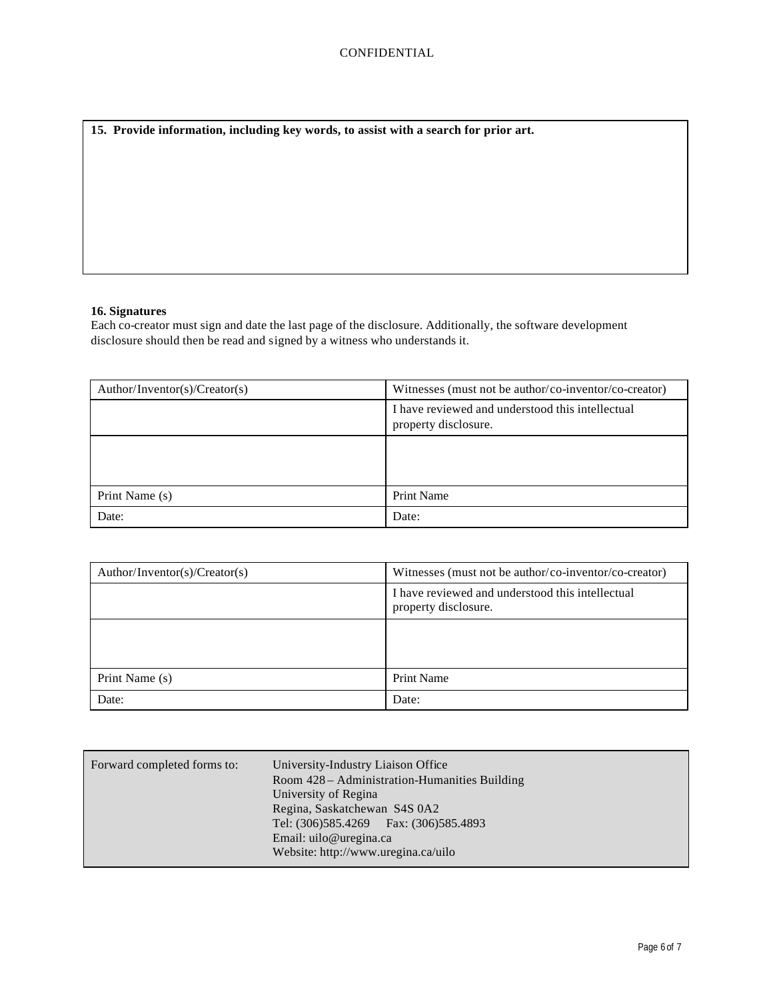**15. Provide information, including key words, to assist with a search for prior art.** 

## **16. Signatures**

Each co-creator must sign and date the last page of the disclosure. Additionally, the software development disclosure should then be read and signed by a witness who understands it.

| Author/Inventor(s)/Creator(s) | Witnesses (must not be author/co-inventor/co-creator)                    |
|-------------------------------|--------------------------------------------------------------------------|
|                               | I have reviewed and understood this intellectual<br>property disclosure. |
|                               |                                                                          |
| Print Name (s)                | <b>Print Name</b>                                                        |
| Date:                         | Date:                                                                    |

| Author/Inventor(s)/Creator(s) | Witnesses (must not be author/co-inventor/co-creator)                    |
|-------------------------------|--------------------------------------------------------------------------|
|                               | I have reviewed and understood this intellectual<br>property disclosure. |
|                               |                                                                          |
| Print Name (s)                | <b>Print Name</b>                                                        |
| Date:                         | Date:                                                                    |

| Forward completed forms to:<br>University-Industry Liaison Office<br>Room 428 – Administration-Humanities Building<br>University of Regina<br>Regina, Saskatchewan S4S 0A2<br>Tel: (306)585.4269   Fax: (306)585.4893<br>Email: uilo@uregina.ca<br>Website: http://www.uregina.ca/uilo |
|----------------------------------------------------------------------------------------------------------------------------------------------------------------------------------------------------------------------------------------------------------------------------------------|
|----------------------------------------------------------------------------------------------------------------------------------------------------------------------------------------------------------------------------------------------------------------------------------------|